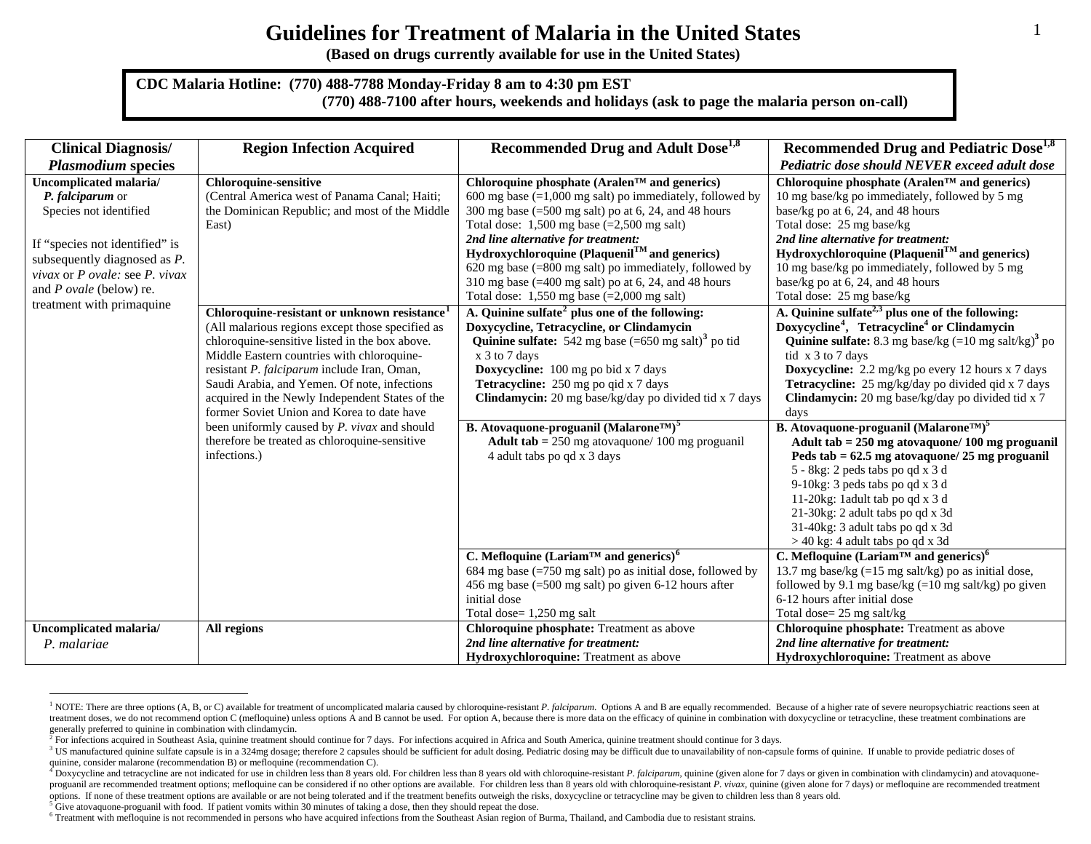# **Guidelines for Treatment of Malaria in the United States**

**(Based on drugs currently available for use in the United States)** 

### **CDC Malaria Hotline: (770) 488-7788 Monday-Friday 8 am to 4:30 pm EST (770) 488-7100 after hours, weekends and holidays (ask to page the malaria person on-call)**

| <b>Clinical Diagnosis/</b><br><b>Plasmodium species</b>                                                                                                                                                                               | <b>Region Infection Acquired</b>                                                                                                                                                                                                                                                                                                                                                                                                                                                                                              | Recommended Drug and Adult Dose <sup>1,8</sup>                                                                                                                                                                                                                                                                                                                                                                                                                                                                    | Recommended Drug and Pediatric Dose <sup>1,8</sup><br>Pediatric dose should NEVER exceed adult dose                                                                                                                                                                                                                                                                                                          |
|---------------------------------------------------------------------------------------------------------------------------------------------------------------------------------------------------------------------------------------|-------------------------------------------------------------------------------------------------------------------------------------------------------------------------------------------------------------------------------------------------------------------------------------------------------------------------------------------------------------------------------------------------------------------------------------------------------------------------------------------------------------------------------|-------------------------------------------------------------------------------------------------------------------------------------------------------------------------------------------------------------------------------------------------------------------------------------------------------------------------------------------------------------------------------------------------------------------------------------------------------------------------------------------------------------------|--------------------------------------------------------------------------------------------------------------------------------------------------------------------------------------------------------------------------------------------------------------------------------------------------------------------------------------------------------------------------------------------------------------|
| Uncomplicated malaria/<br>P. falciparum or<br>Species not identified<br>If "species not identified" is<br>subsequently diagnosed as P.<br>vivax or $P$ ovale: see $P$ . vivax<br>and P ovale (below) re.<br>treatment with primaquine | <b>Chloroquine-sensitive</b><br>(Central America west of Panama Canal; Haiti;<br>the Dominican Republic; and most of the Middle<br>East)                                                                                                                                                                                                                                                                                                                                                                                      | Chloroquine phosphate (Aralen™ and generics)<br>600 mg base $(=1,000 \text{ mg salt})$ po immediately, followed by<br>300 mg base $(=500 \text{ mg salt})$ po at 6, 24, and 48 hours<br>Total dose: $1,500$ mg base $(=2,500$ mg salt)<br>2nd line alternative for treatment:<br>$Hydroxychloroquire (PlaquenilTM and generics)$<br>$620$ mg base (= $800$ mg salt) po immediately, followed by<br>310 mg base $(=400 \text{ mg salt})$ po at 6, 24, and 48 hours<br>Total dose: $1,550$ mg base (=2,000 mg salt) | Chloroquine phosphate (Aralen™ and generics)<br>10 mg base/kg po immediately, followed by 5 mg<br>base/kg po at 6, 24, and 48 hours<br>Total dose: 25 mg base/kg<br>2nd line alternative for treatment:<br>Hydroxychloroquine (Plaquenil™ and generics)<br>10 mg base/kg po immediately, followed by 5 mg<br>base/kg po at 6, 24, and 48 hours<br>Total dose: 25 mg base/kg                                  |
|                                                                                                                                                                                                                                       | Chloroquine-resistant or unknown resistance <sup>1</sup><br>(All malarious regions except those specified as<br>chloroquine-sensitive listed in the box above.<br>Middle Eastern countries with chloroquine-<br>resistant P. falciparum include Iran, Oman,<br>Saudi Arabia, and Yemen. Of note, infections<br>acquired in the Newly Independent States of the<br>former Soviet Union and Korea to date have<br>been uniformly caused by P. vivax and should<br>therefore be treated as chloroquine-sensitive<br>infections.) | A. Quinine sulfate <sup>2</sup> plus one of the following:<br>Doxycycline, Tetracycline, or Clindamycin<br><b>Quinine sulfate:</b> 542 mg base $(=650 \text{ mg salt})^3$ po tid<br>x 3 to 7 days<br>Doxycycline: 100 mg po bid x 7 days<br>Tetracycline: 250 mg po qid x 7 days<br>Clindamycin: 20 mg base/kg/day po divided tid x 7 days                                                                                                                                                                        | A. Quinine sulfate <sup>2,3</sup> plus one of the following:<br>Doxycycline <sup>4</sup> , Tetracycline <sup>4</sup> or Clindamycin<br><b>Quinine sulfate:</b> 8.3 mg base/kg $(=10 \text{ mg salt/kg})^3$ po<br>tid $x 3$ to 7 days<br>Doxycycline: 2.2 mg/kg po every 12 hours x 7 days<br>Tetracycline: 25 mg/kg/day po divided qid x 7 days<br>Clindamycin: 20 mg base/kg/day po divided tid x 7<br>davs |
|                                                                                                                                                                                                                                       |                                                                                                                                                                                                                                                                                                                                                                                                                                                                                                                               | <b>B.</b> Atovaquone-proguanil (Malarone <sup>TM)5</sup><br><b>Adult tab</b> = 250 mg atovaquone/ 100 mg proguanil<br>4 adult tabs po qd x 3 days                                                                                                                                                                                                                                                                                                                                                                 | B. Atovaquone-proguanil (Malarone <sup>TM)5</sup><br>Adult tab $= 250$ mg atovaquone/ 100 mg proguanil<br>Peds tab = $62.5$ mg atovaquone/ $25$ mg proguanil<br>5 - 8kg: 2 peds tabs po qd x 3 d<br>9-10kg: 3 peds tabs po qd x 3 d<br>11-20kg: 1adult tab po qd x 3 d<br>21-30kg: 2 adult tabs po qd x 3d<br>31-40kg: 3 adult tabs po qd x 3d<br>> 40 kg: 4 adult tabs po qd x 3d                           |
|                                                                                                                                                                                                                                       |                                                                                                                                                                                                                                                                                                                                                                                                                                                                                                                               | C. Mefloquine (Lariam <sup>TM</sup> and generics) <sup>6</sup><br>684 mg base $(=750 \text{ mg salt})$ po as initial dose, followed by<br>456 mg base $(=500 \text{ mg salt})$ po given 6-12 hours after<br>initial dose<br>Total dose= $1,250$ mg salt                                                                                                                                                                                                                                                           | C. Mefloquine (Lariam <sup>TM</sup> and generics) <sup>6</sup><br>13.7 mg base/kg $(=15 \text{ mg salt/kg})$ po as initial dose,<br>followed by 9.1 mg base/kg $(=10 \text{ mg salt/kg})$ po given<br>6-12 hours after initial dose<br>Total dose= 25 mg salt/kg                                                                                                                                             |
| Uncomplicated malaria/<br>P. malariae                                                                                                                                                                                                 | All regions                                                                                                                                                                                                                                                                                                                                                                                                                                                                                                                   | Chloroquine phosphate: Treatment as above<br>2nd line alternative for treatment:<br>Hydroxychloroquine: Treatment as above                                                                                                                                                                                                                                                                                                                                                                                        | Chloroquine phosphate: Treatment as above<br>2nd line alternative for treatment:<br>Hydroxychloroquine: Treatment as above                                                                                                                                                                                                                                                                                   |

<span id="page-0-0"></span><sup>&</sup>lt;sup>1</sup> NOTE: There are three options (A, B, or C) available for treatment of uncomplicated malaria caused by chloroquine-resistant P. falciparum. Options A and B are equally recommended. Because of a higher rate of severe neu treatment doses, we do not recommend option C (mefloquine) unless options A and B cannot be used. For option A, because there is more data on the efficacy of quinine in combination with doxycycline or tetracycline, these t generally preferred to quinine in combination with clindamycin.

 $^2$  For infections acquired in Southeast Asia, quinine treatment should continue for 7 days. For infections acquired in Africa and South America, quinine treatment should continue for 3 days.

<span id="page-0-2"></span><span id="page-0-1"></span><sup>&</sup>lt;sup>3</sup> US manufactured quinine sulfate capsule is in a 324mg dosage; therefore 2 capsules should be sufficient for adult dosing. Pediatric dosing may be difficult due to unavailability of non-capsule forms of quinine. If unab quinine, consider malarone (recommendation B) or mefloquine (recommendation C).

<span id="page-0-3"></span><sup>&</sup>lt;sup>4</sup> Doxycycline and tetracycline are not indicated for use in children less than 8 years old. For children less than 8 years old. For children less than 8 years old with chloroquine-resistant P. falciparum, quinine (given proguanil are recommended treatment options; mefloquine can be considered if no other options are available. For children less than 8 years old with chloroquine-resistant P, vivax, quinine (given alone for 7 days) or meflo options. If none of these treatment options are available or are not being tolerated and if the treatment benefits outweigh the risks, doxycycline or tetracycline may be given to children less than 8 years old.

<span id="page-0-4"></span><sup>&</sup>lt;sup>5</sup> Give atovaquone-proguanil with food. If patient vomits within 30 minutes of taking a dose, then they should repeat the dose.

<span id="page-0-5"></span><sup>6</sup> Treatment with mefloquine is not recommended in persons who have acquired infections from the Southeast Asian region of Burma, Thailand, and Cambodia due to resistant strains.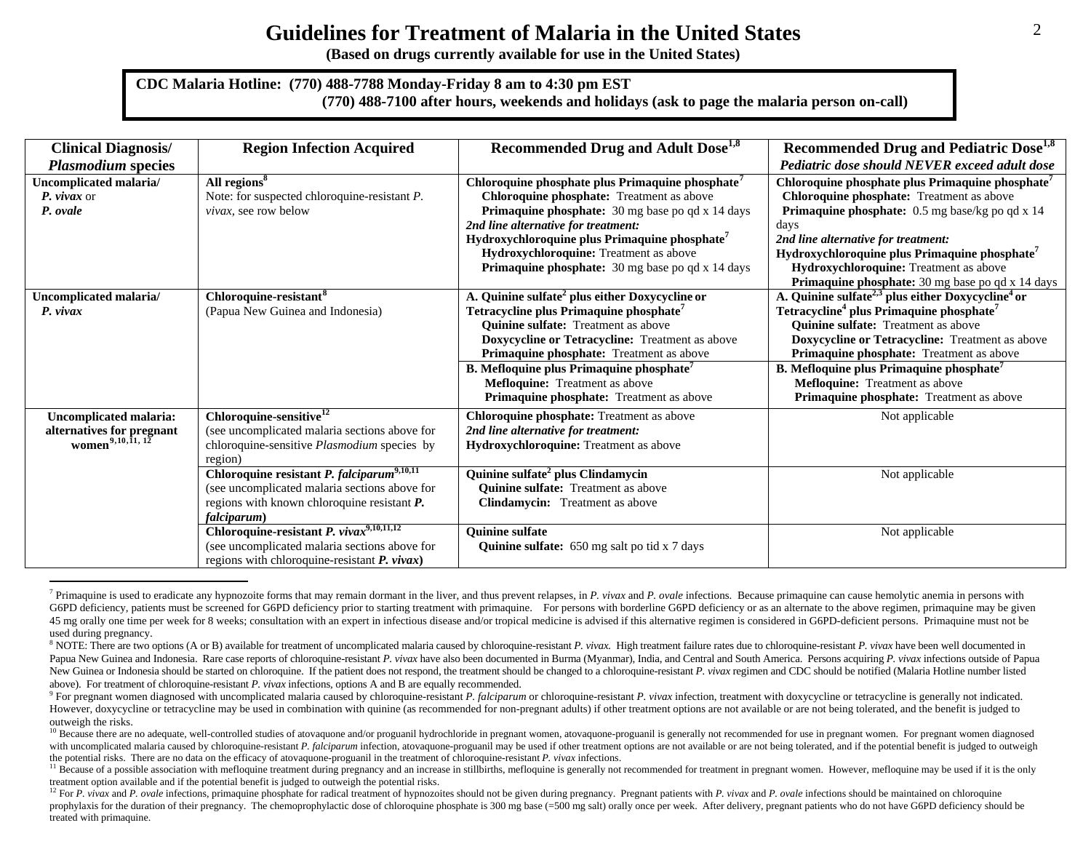## **Guidelines for Treatment of Malaria in the United States**

**(Based on drugs currently available for use in the United States)** 

#### **CDC Malaria Hotline: (770) 488-7788 Monday-Friday 8 am to 4:30 pm EST (770) 488-7100 after hours, weekends and holidays (ask to page the malaria person on-call)**

| <b>Clinical Diagnosis/</b>                               | <b>Region Infection Acquired</b>                       | Recommended Drug and Adult Dose <sup>1,8</sup>               | Recommended Drug and Pediatric Dose <sup>1,8</sup>                        |
|----------------------------------------------------------|--------------------------------------------------------|--------------------------------------------------------------|---------------------------------------------------------------------------|
| <b>Plasmodium species</b>                                |                                                        |                                                              | Pediatric dose should NEVER exceed adult dose                             |
| Uncomplicated malaria/                                   | All regions <sup>8</sup>                               | Chloroquine phosphate plus Primaquine phosphate <sup>7</sup> | Chloroquine phosphate plus Primaquine phosphate <sup>7</sup>              |
| $P.$ vivax or                                            | Note: for suspected chloroquine-resistant P.           | Chloroquine phosphate: Treatment as above                    | Chloroquine phosphate: Treatment as above                                 |
| P. ovale                                                 | vivax, see row below                                   | Primaquine phosphate: 30 mg base po qd x 14 days             | Primaquine phosphate: 0.5 mg base/kg po qd x 14                           |
|                                                          |                                                        | 2nd line alternative for treatment:                          | days                                                                      |
|                                                          |                                                        | Hydroxychloroquine plus Primaquine phosphate <sup>7</sup>    | 2nd line alternative for treatment:                                       |
|                                                          |                                                        | Hydroxychloroquine: Treatment as above                       | Hydroxychloroquine plus Primaquine phosphate <sup>7</sup>                 |
|                                                          |                                                        | Primaquine phosphate: 30 mg base po qd x 14 days             | Hydroxychloroquine: Treatment as above                                    |
|                                                          |                                                        |                                                              | Primaquine phosphate: 30 mg base po qd x 14 days                          |
| Uncomplicated malaria/                                   | Chloroquine-resistant <sup>8</sup>                     | A. Quinine sulfate <sup>2</sup> plus either Doxycycline or   | A. Quinine sulfate <sup>2,3</sup> plus either Doxycycline <sup>4</sup> or |
| P. vivax                                                 | (Papua New Guinea and Indonesia)                       | Tetracycline plus Primaquine phosphate <sup>7</sup>          | Tetracycline <sup>4</sup> plus Primaquine phosphate <sup>7</sup>          |
|                                                          |                                                        | <b>Quinine sulfate:</b> Treatment as above                   | <b>Quinine sulfate:</b> Treatment as above                                |
|                                                          |                                                        | Doxycycline or Tetracycline: Treatment as above              | Doxycycline or Tetracycline: Treatment as above                           |
|                                                          |                                                        | Primaquine phosphate: Treatment as above                     | Primaquine phosphate: Treatment as above                                  |
|                                                          |                                                        | <b>B.</b> Mefloquine plus Primaquine phosphate <sup>7</sup>  | B. Mefloquine plus Primaquine phosphate <sup>7</sup>                      |
|                                                          |                                                        | <b>Mefloquine:</b> Treatment as above                        | Mefloquine: Treatment as above                                            |
|                                                          |                                                        | Primaquine phosphate: Treatment as above                     | Primaquine phosphate: Treatment as above                                  |
| <b>Uncomplicated malaria:</b>                            | Chloroquine-sensitive <sup>12</sup>                    | Chloroquine phosphate: Treatment as above                    | Not applicable                                                            |
| alternatives for pregnant<br>women <sup>9,10,11,12</sup> | (see uncomplicated malaria sections above for          | 2nd line alternative for treatment:                          |                                                                           |
|                                                          | chloroquine-sensitive Plasmodium species by            | Hydroxychloroquine: Treatment as above                       |                                                                           |
|                                                          | region)                                                |                                                              |                                                                           |
|                                                          | Chloroquine resistant P. falciparum <sup>9,10,11</sup> | Quinine sulfate <sup>2</sup> plus Clindamycin                | Not applicable                                                            |
|                                                          | (see uncomplicated malaria sections above for          | <b>Quinine sulfate:</b> Treatment as above                   |                                                                           |
|                                                          | regions with known chloroquine resistant $P$ .         | Clindamycin: Treatment as above                              |                                                                           |
|                                                          | <i>falciparum</i> )                                    |                                                              |                                                                           |
|                                                          | Chloroquine-resistant P. vivax <sup>9,10,11,12</sup>   | <b>Ouinine sulfate</b>                                       | Not applicable                                                            |
|                                                          | (see uncomplicated malaria sections above for          | <b>Quinine sulfate:</b> 650 mg salt po tid x 7 days          |                                                                           |
|                                                          | regions with chloroquine-resistant $P$ . vivax)        |                                                              |                                                                           |

<span id="page-1-0"></span><sup>&</sup>lt;sup>7</sup> Primaquine is used to eradicate any hypnozoite forms that may remain dormant in the liver, and thus prevent relapses, in P. vivax and P. ovale infections. Because primaquine can cause hemolytic anemia in persons with G6PD deficiency, patients must be screened for G6PD deficiency prior to starting treatment with primaquine. For persons with borderline G6PD deficiency or as an alternate to the above regimen, primaquine may be given 45 mg orally one time per week for 8 weeks; consultation with an expert in infectious disease and/or tropical medicine is advised if this alternative regimen is considered in G6PD-deficient persons. Primaquine must not be used during pregnancy.

<span id="page-1-1"></span><sup>&</sup>lt;sup>8</sup> NOTE: There are two options (A or B) available for treatment of uncomplicated malaria caused by chloroquine-resistant P. vivax. High treatment failure rates due to chloroquine-resistant P. vivax have been well document Papua New Guinea and Indonesia. Rare case reports of chloroquine-resistant P. vivax have also been documented in Burma (Myanmar), India, and Central and South America. Persons acquiring P. vivax infections outside of Papua New Guinea or Indonesia should be started on chloroquine. If the patient does not respond, the treatment should be changed to a chloroquine-resistant P. vivax regimen and CDC should be notified (Malaria Hotline number list above). For treatment of chloroquine-resistant *P. vivax* infections*,* options A and B are equally recommended.

<span id="page-1-2"></span><sup>&</sup>lt;sup>9</sup> For pregnant women diagnosed with uncomplicated malaria caused by chloroquine-resistant P. falciparum or chloroquine-resistant P. vivax infection, treatment with doxycycline or tetracycline is generally not indicated. However, doxycycline or tetracycline may be used in combination with quinine (as recommended for non-pregnant adults) if other treatment options are not available or are not being tolerated, and the benefit is judged to outweigh the risks.

<span id="page-1-3"></span><sup>&</sup>lt;sup>10</sup> Because there are no adequate, well-controlled studies of atovaquone and/or proguanil hydrochloride in pregnant women, atovaquone-proguanil is generally not recommended for use in pregnant women. For pregnant women di with uncomplicated malaria caused by chloroquine-resistant P. falciparum infection, atovaquone-proguanil may be used if other treatment options are not available or are not being tolerated, and if the potential benefit is the potential risks. There are no data on the efficacy of atovaquone-proguanil in the treatment of chloroquine-resistant *P. vivax* infections.

<span id="page-1-4"></span><sup>&</sup>lt;sup>11</sup> Because of a possible association with mefloquine treatment during pregnancy and an increase in stillbirths, mefloquine is generally not recommended for treatment in pregnant women. However, mefloquine may be used if treatment option available and if the potential benefit is judged to outweigh the potential risks.

<span id="page-1-5"></span><sup>&</sup>lt;sup>12</sup> For P, vivax and P, ovale infections, primaquine phosphate for radical treatment of hypnozoites should not be given during pregnancy. Pregnant patients with P, vivax and P, ovale infections should be maintained on ch prophylaxis for the duration of their pregnancy. The chemoprophylactic dose of chloroquine phosphate is 300 mg base (=500 mg salt) orally once per week. After delivery, pregnant patients who do not have G6PD deficiency sho treated with primaquine.